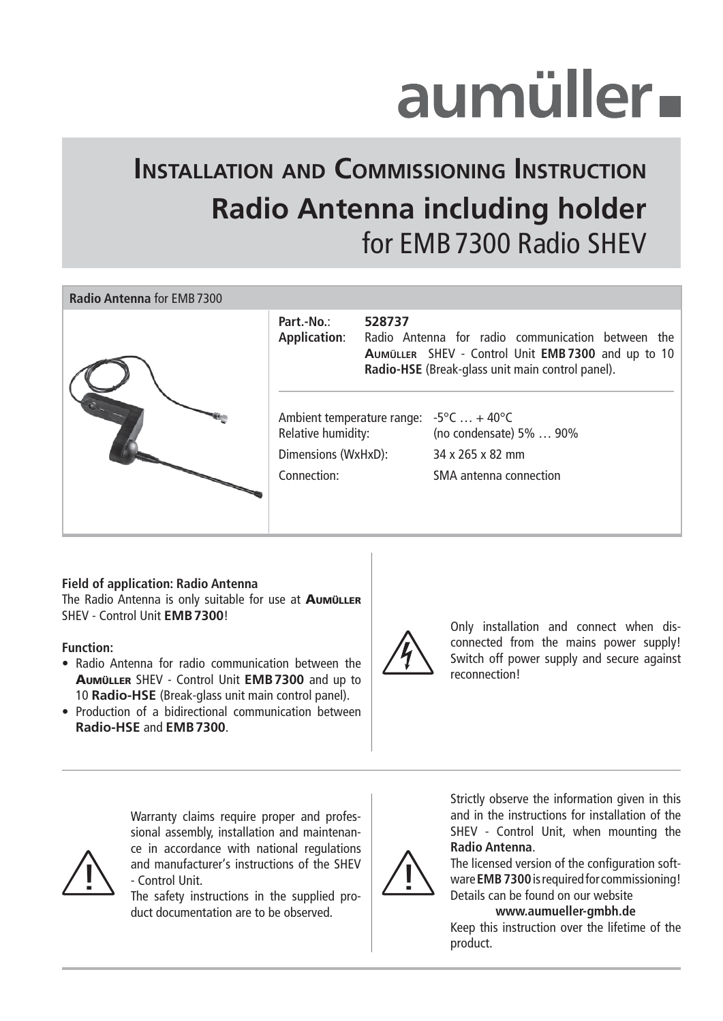# aumüller-

## **INSTALLATION AND COMMISSIONING INSTRUCTION Radio Antenna including holder** for EMB 7300 Radio SHEV



#### **Field of application: Radio Antenna**

The Radio Antenna is only suitable for use at AUMÜLLER SHEV - Control Unit **EMB 7300**!

#### **Function:**

- Radio Antenna for radio communication between the AUMÜLLER SHEV - Control Unit **EMB 7300** and up to 10 **Radio-HSE** (Break-glass unit main control panel).
- Production of a bidirectional communication between **Radio-HSE** and **EMB 7300**.



Only installation and connect when disconnected from the mains power supply! Switch off power supply and secure against reconnection!

and manufacturer's instructions of the SHEV<br>The safety instructions in the sumplied pro-Warranty claims require proper and professional assembly, installation and maintenance in accordance with national regulations - Control Unit.

The safety instructions in the supplied product documentation are to be observed.



Strictly observe the information given in this and in the instructions for installation of the SHEV - Control Unit, when mounting the **Radio Antenna**.

The licensed version of the configuration software **EMB 7300** is required for commissioning! Details can be found on our website

#### **www.aumueller-gmbh.de**

Keep this instruction over the lifetime of the product.